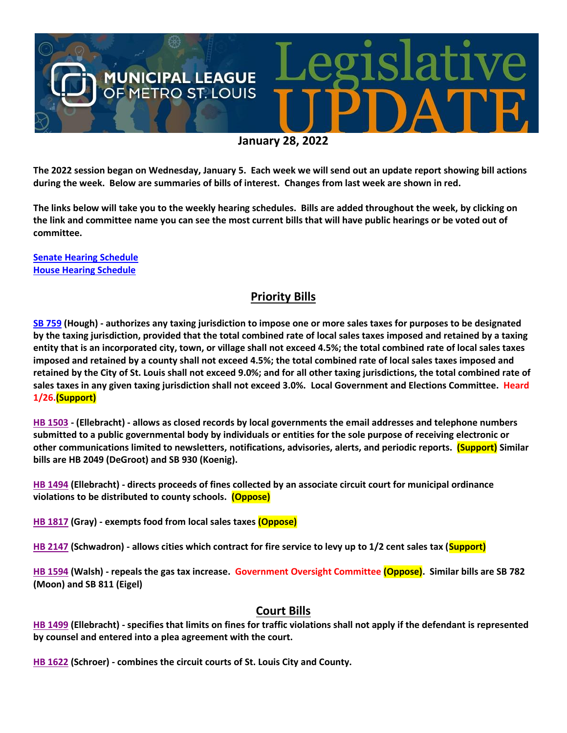

**The 2022 session began on Wednesday, January 5. Each week we will send out an update report showing bill actions during the week. Below are summaries of bills of interest. Changes from last week are shown in red.**

**The links below will take you to the weekly hearing schedules. Bills are added throughout the week, by clicking on the link and committee name you can see the most current bills that will have public hearings or be voted out of committee.**

**[Senate Hearing Schedule](https://www.senate.mo.gov/hearingsschedule/hrings.htm) [House Hearing Schedule](https://www.house.mo.gov/AllHearings.aspx?sdid=01182022)** 

#### **Priority Bills**

**[SB 759](https://www.senate.mo.gov/22info/BTS_Web/Bill.aspx?SessionType=R&BillID=71259645) (Hough) - authorizes any taxing jurisdiction to impose one or more sales taxes for purposes to be designated by the taxing jurisdiction, provided that the total combined rate of local sales taxes imposed and retained by a taxing entity that is an incorporated city, town, or village shall not exceed 4.5%; the total combined rate of local sales taxes imposed and retained by a county shall not exceed 4.5%; the total combined rate of local sales taxes imposed and retained by the City of St. Louis shall not exceed 9.0%; and for all other taxing jurisdictions, the total combined rate of sales taxes in any given taxing jurisdiction shall not exceed 3.0%. Local Government and Elections Committee. Heard 1/26.(Support)**

**[HB 1503](https://house.mo.gov/Bill.aspx?bill=HB1503&year=2022&code=R) - (Ellebracht) - allows as closed records by local governments the email addresses and telephone numbers submitted to a public governmental body by individuals or entities for the sole purpose of receiving electronic or other communications limited to newsletters, notifications, advisories, alerts, and periodic reports. (Support) Similar bills are HB 2049 (DeGroot) and SB 930 (Koenig).**

**[HB 1494](https://house.mo.gov/Bill.aspx?bill=HB1494&year=2022&code=R) (Ellebracht) - directs proceeds of fines collected by an associate circuit court for municipal ordinance violations to be distributed to county schools. (Oppose)**

**[HB 1817](https://house.mo.gov/Bill.aspx?bill=HB1817&year=2022&code=R) (Gray) - exempts food from local sales taxes (Oppose)**

**[HB 2147](https://house.mo.gov/Bill.aspx?bill=HB2147&year=2022&code=R) (Schwadron) - allows cities which contract for fire service to levy up to 1/2 cent sales tax (Support)**

**[HB 1594](https://house.mo.gov/Bill.aspx?bill=HB1594&year=2022&code=R) (Walsh) - repeals the gas tax increase. Government Oversight Committee (Oppose). Similar bills are SB 782 (Moon) and SB 811 (Eigel)**

#### **Court Bills**

**[HB 1499](https://house.mo.gov/Bill.aspx?bill=HB1499&year=2022&code=R) (Ellebracht) - specifies that limits on fines for traffic violations shall not apply if the defendant is represented by counsel and entered into a plea agreement with the court.**

**[HB 1622](https://house.mo.gov/Bill.aspx?bill=HB1622&year=2022&code=R) (Schroer) - combines the circuit courts of St. Louis City and County.**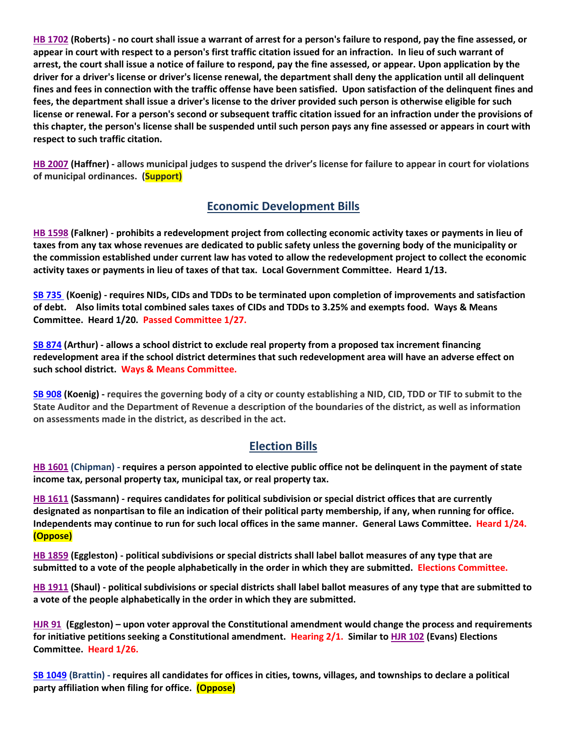**[HB 1702](https://house.mo.gov/Bill.aspx?bill=HB1702&year=2022&code=R) (Roberts) - no court shall issue a warrant of arrest for a person's failure to respond, pay the fine assessed, or appear in court with respect to a person's first traffic citation issued for an infraction. In lieu of such warrant of arrest, the court shall issue a notice of failure to respond, pay the fine assessed, or appear. Upon application by the driver for a driver's license or driver's license renewal, the department shall deny the application until all delinquent fines and fees in connection with the traffic offense have been satisfied. Upon satisfaction of the delinquent fines and fees, the department shall issue a driver's license to the driver provided such person is otherwise eligible for such license or renewal. For a person's second or subsequent traffic citation issued for an infraction under the provisions of this chapter, the person's license shall be suspended until such person pays any fine assessed or appears in court with respect to such traffic citation.**

**[HB 2007](https://house.mo.gov/Bill.aspx?bill=HB2007&year=2022&code=R) (Haffner) - allows municipal judges to suspend the driver's license for failure to appear in court for violations of municipal ordinances. (Support)**

## **Economic Development Bills**

**[HB 1598](https://house.mo.gov/Bill.aspx?bill=HB1598&year=2022&code=R) (Falkner) - prohibits a redevelopment project from collecting economic activity taxes or payments in lieu of taxes from any tax whose revenues are dedicated to public safety unless the governing body of the municipality or the commission established under current law has voted to allow the redevelopment project to collect the economic activity taxes or payments in lieu of taxes of that tax. Local Government Committee. Heard 1/13.**

**[SB 735](https://www.senate.mo.gov/22info/BTS_Web/Bill.aspx?SessionType=R&BillID=71259902%20%20) (Koenig) - requires NIDs, CIDs and TDDs to be terminated upon completion of improvements and satisfaction of debt. Also limits total combined sales taxes of CIDs and TDDs to 3.25% and exempts food. Ways & Means Committee. Heard 1/20. Passed Committee 1/27.**

**[SB 874](https://www.senate.mo.gov/22info/BTS_Web/Bill.aspx?SessionType=R&BillID=71259609) (Arthur) - allows a school district to exclude real property from a proposed tax increment financing redevelopment area if the school district determines that such redevelopment area will have an adverse effect on such school district. Ways & Means Committee.**

**[SB 908](https://www.senate.mo.gov/22info/BTS_Web/Bill.aspx?SessionType=R&BillID=71259913) (Koenig) - requires the governing body of a city or county establishing a NID, CID, TDD or TIF to submit to the State Auditor and the Department of Revenue a description of the boundaries of the district, as well as information on assessments made in the district, as described in the act.**

## **Election Bills**

**[HB 1601](https://house.mo.gov/Bill.aspx?bill=HB1601&year=2022&code=R) (Chipman) - requires a person appointed to elective public office not be delinquent in the payment of state income tax, personal property tax, municipal tax, or real property tax.**

**HB [1611](https://house.mo.gov/Bill.aspx?bill=HB1611&year=2022&code=R) (Sassmann) - requires candidates for political subdivision or special district offices that are currently designated as nonpartisan to file an indication of their political party membership, if any, when running for office. Independents may continue to run for such local offices in the same manner. General Laws Committee. Heard 1/24. (Oppose)**

**[HB 1859](https://house.mo.gov/Bill.aspx?bill=HB1859&year=2022&code=R) (Eggleston) - political subdivisions or special districts shall label ballot measures of any type that are submitted to a vote of the people alphabetically in the order in which they are submitted. Elections Committee.**

**[HB 1911](https://house.mo.gov/Bill.aspx?bill=HB1911&year=2022&code=R) (Shaul) - political subdivisions or special districts shall label ballot measures of any type that are submitted to [a vote of the people alphabetically in the order in which they are submitted.](https://www.house.mo.gov/Bill.aspx?bill=HJR91&year=2022&code=R)**

**[HJR 91](https://www.house.mo.gov/Bill.aspx?bill=HJR91&year=2022&code=R) [\(Eggleston\)](https://www.house.mo.gov/MemberDetails.aspx?year=2022&district=2) – upon voter approval the Constitutional amendment would change the process and requirements for initiative petitions seeking a Constitutional amendment. Hearing 2/1. Similar to [HJR 102](https://www.house.mo.gov/Bill.aspx?bill=HJR102&year=2022&code=R) (Evans) Elections Committee. Heard 1/26.**

**[SB 1049](https://www.senate.mo.gov/22info/BTS_Web/Bill.aspx?SessionType=R&BillID=73129349) (Brattin) - requires all candidates for offices in cities, towns, villages, and townships to declare a political party affiliation when filing for office. (Oppose)**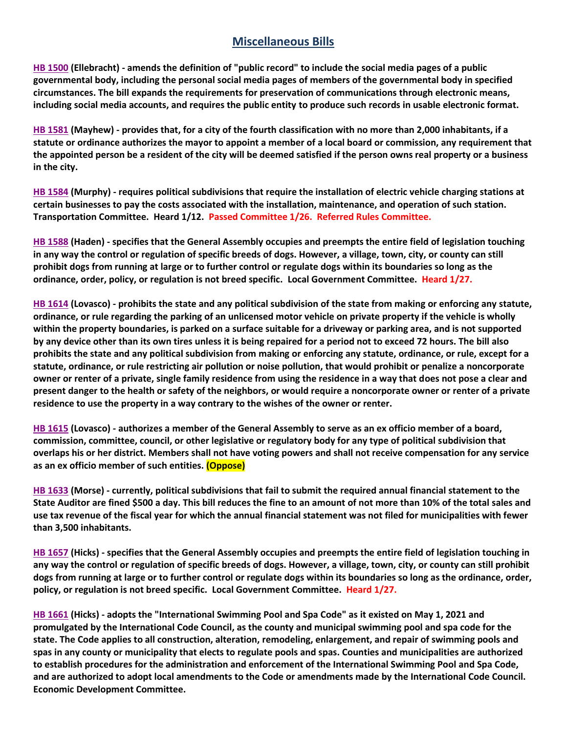## **Miscellaneous Bills**

**[HB 1500](https://house.mo.gov/Bill.aspx?bill=HB1500&year=2022&code=R) (Ellebracht) - amends the definition of "public record" to include the social media pages of a public governmental body, including the personal social media pages of members of the governmental body in specified circumstances. The bill expands the requirements for preservation of communications through electronic means, including social media accounts, and requires the public entity to produce such records in usable electronic format.**

**[HB 1581](https://house.mo.gov/Bill.aspx?bill=HB1581&year=2022&code=R) (Mayhew) - provides that, for a city of the fourth classification with no more than 2,000 inhabitants, if a statute or ordinance authorizes the mayor to appoint a member of a local board or commission, any requirement that the appointed person be a resident of the city will be deemed satisfied if the person owns real property or a business in the city.**

**[HB 1584](https://house.mo.gov/Bill.aspx?bill=HB1584&year=2022&code=R) (Murphy) - requires political subdivisions that require the installation of electric vehicle charging stations at certain businesses to pay the costs associated with the installation, maintenance, and operation of such station. Transportation Committee. Heard 1/12. Passed Committee 1/26. Referred Rules Committee.**

**[HB 1588](https://house.mo.gov/Bill.aspx?bill=HB1588&year=2022&code=R) (Haden) - specifies that the General Assembly occupies and preempts the entire field of legislation touching in any way the control or regulation of specific breeds of dogs. However, a village, town, city, or county can still prohibit dogs from running at large or to further control or regulate dogs within its boundaries so long as the ordinance, order, policy, or regulation is not breed specific. Local Government Committee. Heard 1/27.**

**[HB 1614](https://house.mo.gov/Bill.aspx?bill=HB1614&year=2022&code=R) (Lovasco) - prohibits the state and any political subdivision of the state from making or enforcing any statute, ordinance, or rule regarding the parking of an unlicensed motor vehicle on private property if the vehicle is wholly within the property boundaries, is parked on a surface suitable for a driveway or parking area, and is not supported by any device other than its own tires unless it is being repaired for a period not to exceed 72 hours. The bill also prohibits the state and any political subdivision from making or enforcing any statute, ordinance, or rule, except for a statute, ordinance, or rule restricting air pollution or noise pollution, that would prohibit or penalize a noncorporate owner or renter of a private, single family residence from using the residence in a way that does not pose a clear and present danger to the health or safety of the neighbors, or would require a noncorporate owner or renter of a private residence to use the property in a way contrary to the wishes of the owner or renter.**

**[HB 1615](https://house.mo.gov/Bill.aspx?bill=HB1615&year=2022&code=R) (Lovasco) - authorizes a member of the General Assembly to serve as an ex officio member of a board, commission, committee, council, or other legislative or regulatory body for any type of political subdivision that overlaps his or her district. Members shall not have voting powers and shall not receive compensation for any service as an ex officio member of such entities. (Oppose)**

**[HB 1633](https://house.mo.gov/Bill.aspx?bill=HB1633&year=2022&code=R) (Morse) - currently, political subdivisions that fail to submit the required annual financial statement to the State Auditor are fined \$500 a day. This bill reduces the fine to an amount of not more than 10% of the total sales and use tax revenue of the fiscal year for which the annual financial statement was not filed for municipalities with fewer than 3,500 inhabitants.**

**[HB 1657](https://house.mo.gov/Bill.aspx?bill=HB1657&year=2022&code=R) (Hicks) - specifies that the General Assembly occupies and preempts the entire field of legislation touching in any way the control or regulation of specific breeds of dogs. However, a village, town, city, or county can still prohibit dogs from running at large or to further control or regulate dogs within its boundaries so long as the ordinance, order, policy, or regulation is not breed specific. Local Government Committee. Heard 1/27.**

**[HB 1661](https://house.mo.gov/Bill.aspx?bill=HB1661&year=2022&code=R) (Hicks) - adopts the "International Swimming Pool and Spa Code" as it existed on May 1, 2021 and promulgated by the International Code Council, as the county and municipal swimming pool and spa code for the state. The Code applies to all construction, alteration, remodeling, enlargement, and repair of swimming pools and spas in any county or municipality that elects to regulate pools and spas. Counties and municipalities are authorized to establish procedures for the administration and enforcement of the International Swimming Pool and Spa Code, and are authorized to adopt local amendments to the Code or amendments made by the International Code Council. Economic Development Committee.**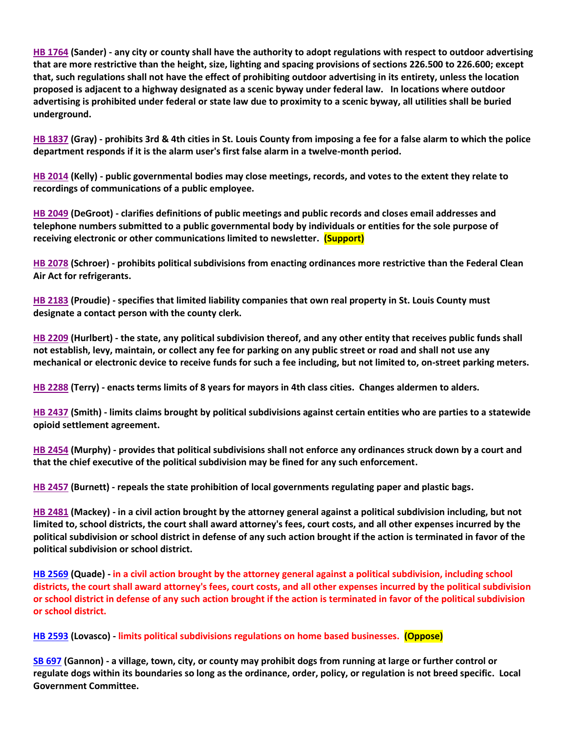**[HB 1764](https://house.mo.gov/Bill.aspx?bill=HB1764&year=2022&code=R) (Sander) - any city or county shall have the authority to adopt regulations with respect to outdoor advertising that are more restrictive than the height, size, lighting and spacing provisions of sections 226.500 to 226.600; except that, such regulations shall not have the effect of prohibiting outdoor advertising in its entirety, unless the location proposed is adjacent to a highway designated as a scenic byway under federal law. In locations where outdoor advertising is prohibited under federal or state law due to proximity to a scenic byway, all utilities shall be buried underground.**

**[HB 1837](https://house.mo.gov/Bill.aspx?bill=HB1837&year=2022&code=R) (Gray) - prohibits 3rd & 4th cities in St. Louis County from imposing a fee for a false alarm to which the police department responds if it is the alarm user's first false alarm in a twelve-month period.**

**[HB 2014](https://house.mo.gov/Bill.aspx?bill=HB2014&year=2022&code=R) (Kelly) - public governmental bodies may close meetings, records, and votes to the extent they relate to recordings of communications of a public employee.**

**[HB 2049](https://house.mo.gov/Bill.aspx?bill=HB2049&year=2022&code=R) (DeGroot) - clarifies definitions of public meetings and public records and closes email addresses and telephone numbers submitted to a public governmental body by individuals or entities for the sole purpose of receiving electronic or other communications limited to newsletter. (Support)**

**[HB 2078](https://www.house.mo.gov/Bill.aspx?bill=HB2078&year=2022&code=R) (Schroer) - prohibits political subdivisions from enacting ordinances more restrictive than the Federal Clean Air Act for refrigerants.**

**[HB 2183](https://house.mo.gov/Bill.aspx?bill=HB2183&year=2022&code=R) (Proudie) - specifies that limited liability companies that own real property in St. Louis County must designate a contact person with the county clerk.**

**[HB 2209](https://house.mo.gov/Bill.aspx?bill=HB2209&year=2022&code=R) (Hurlbert) - the state, any political subdivision thereof, and any other entity that receives public funds shall not establish, levy, maintain, or collect any fee for parking on any public street or road and shall not use any mechanical or electronic device to receive funds for such a fee including, but not limited to, on-street parking meters.**

**[HB 2288](https://www.house.mo.gov/Bill.aspx?bill=HB2288&year=2022&code=R) (Terry) - enacts terms limits of 8 years for mayors in 4th class cities. Changes aldermen to alders.**

**[HB 2437](https://house.mo.gov/Bill.aspx?bill=HB2437&year=2022&code=R) (Smith) - limits claims brought by political subdivisions against certain entities who are parties to a statewide opioid settlement agreement.**

**[HB 2454](https://house.mo.gov/Bill.aspx?bill=HB2454&year=2022&code=R) (Murphy) - provides that political subdivisions shall not enforce any ordinances struck down by a court and that the chief executive of the political subdivision may be fined for any such enforcement.**

**[HB 2457](https://house.mo.gov/Bill.aspx?bill=HB2457&year=2022&code=R) (Burnett) - repeals the state prohibition of local governments regulating paper and plastic bags.**

**[HB 2481](https://house.mo.gov/Bill.aspx?bill=HB2481&year=2022&code=R) (Mackey) - in a civil action brought by the attorney general against a political subdivision including, but not limited to, school districts, the court shall award attorney's fees, court costs, and all other expenses incurred by the political subdivision or school district in defense of any such action brought if the action is terminated in favor of the political subdivision or school district.**

**[HB 2569](https://www.house.mo.gov/Bill.aspx?bill=HB2569&year=2022&code=R) (Quade) - in a civil action brought by the attorney general against a political subdivision, including school districts, the court shall award attorney's fees, court costs, and all other expenses incurred by the political subdivision or school district in defense of any such action brought if the action is terminated in favor of the political subdivision or school district.**

**[HB 2593](https://www.house.mo.gov/Bill.aspx?bill=HB2593&year=2022&code=R) (Lovasco) - limits political subdivisions regulations on home based businesses. (Oppose)**

**[SB 697](https://www.senate.mo.gov/22info/BTS_Web/Bill.aspx?SessionType=R&BillID=71259741) (Gannon) - a village, town, city, or county may prohibit dogs from running at large or further control or regulate dogs within its boundaries so long as the ordinance, order, policy, or regulation is not breed specific. Local Government Committee.**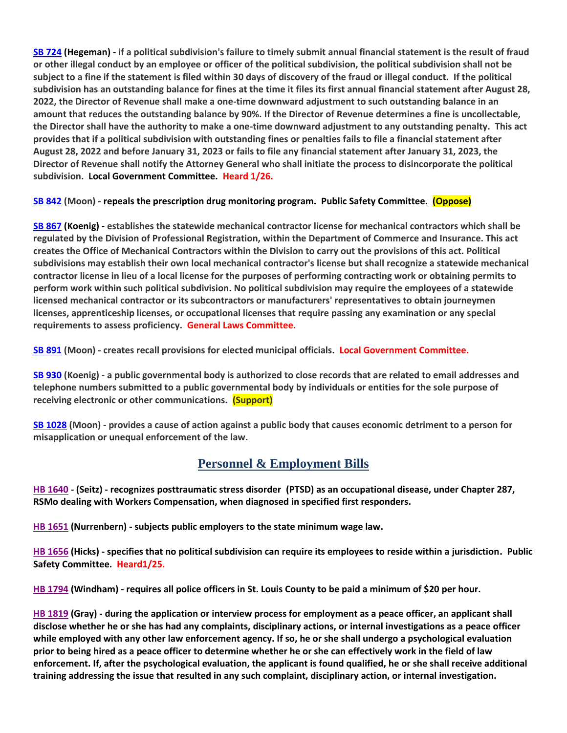**[SB 724](https://www.senate.mo.gov/22info/BTS_Web/Bill.aspx?SessionType=R&BillID=71259818) (Hegeman) - if a political subdivision's failure to timely submit annual financial statement is the result of fraud or other illegal conduct by an employee or officer of the political subdivision, the political subdivision shall not be subject to a fine if the statement is filed within 30 days of discovery of the fraud or illegal conduct. If the political subdivision has an outstanding balance for fines at the time it files its first annual financial statement after August 28, 2022, the Director of Revenue shall make a one-time downward adjustment to such outstanding balance in an amount that reduces the outstanding balance by 90%. If the Director of Revenue determines a fine is uncollectable, the Director shall have the authority to make a one-time downward adjustment to any outstanding penalty. This act provides that if a political subdivision with outstanding fines or penalties fails to file a financial statement after August 28, 2022 and before January 31, 2023 or fails to file any financial statement after January 31, 2023, the Director of Revenue shall notify the Attorney General who shall initiate the process to disincorporate the political subdivision. Local Government Committee. Heard 1/26.**

**[SB 842](https://www.senate.mo.gov/22info/BTS_Web/Bill.aspx?SessionType=R&BillID=71259877) (Moon) - repeals the prescription drug monitoring program. Public Safety Committee. (Oppose)**

**[SB 867](https://www.senate.mo.gov/22info/BTS_Web/Bill.aspx?SessionType=R&BillID=71259909) (Koenig) - establishes the statewide mechanical contractor license for mechanical contractors which shall be regulated by the Division of Professional Registration, within the Department of Commerce and Insurance. This act creates the Office of Mechanical Contractors within the Division to carry out the provisions of this act. Political subdivisions may establish their own local mechanical contractor's license but shall recognize a statewide mechanical contractor license in lieu of a local license for the purposes of performing contracting work or obtaining permits to perform work within such political subdivision. No political subdivision may require the employees of a statewide licensed mechanical contractor or its subcontractors or manufacturers' representatives to obtain journeymen licenses, apprenticeship licenses, or occupational licenses that require passing any examination or any special requirements to assess proficiency. General Laws Committee.**

**[SB 891](https://www.senate.mo.gov/22info/BTS_Web/Bill.aspx?SessionType=R&BillID=71259885) (Moon) - creates recall provisions for elected municipal officials. Local Government Committee.**

**[SB 930](https://www.senate.mo.gov/22info/BTS_Web/Bill.aspx?SessionType=R&BillID=71259916) (Koenig) - a public governmental body is authorized to close records that are related to email addresses and telephone numbers submitted to a public governmental body by individuals or entities for the sole purpose of receiving electronic or other communications. (Support)**

**[SB 1028](https://www.senate.mo.gov/22info/BTS_Web/Bill.aspx?SessionType=R&BillID=72748795) (Moon) - provides a cause of action against a public body that causes economic detriment to a person for misapplication or unequal enforcement of the law.** 

#### **Personnel & Employment Bills**

**[HB 1640](https://house.mo.gov/Bill.aspx?bill=HB1640&year=2022&code=R) - (Seitz) - recognizes posttraumatic stress disorder (PTSD) as an occupational disease, under Chapter 287, RSMo dealing with Workers Compensation, when diagnosed in specified first responders.**

**[HB 1651](https://house.mo.gov/Bill.aspx?bill=HB1651&year=2022&code=R) (Nurrenbern) - subjects public employers to the state minimum wage law.**

**[HB 1656](https://house.mo.gov/Bill.aspx?bill=HB1656&year=2022&code=R) (Hicks) - specifies that no political subdivision can require its employees to reside within a jurisdiction. Public Safety Committee. Heard1/25.**

**[HB 1794](https://house.mo.gov/Bill.aspx?bill=HB1794&year=2022&code=R) (Windham) - requires all police officers in St. Louis County to be paid a minimum of \$20 per hour.**

**[HB 1819](https://house.mo.gov/Bill.aspx?bill=HB1819&year=2022&code=R) (Gray) - during the application or interview process for employment as a peace officer, an applicant shall disclose whether he or she has had any complaints, disciplinary actions, or internal investigations as a peace officer while employed with any other law enforcement agency. If so, he or she shall undergo a psychological evaluation prior to being hired as a peace officer to determine whether he or she can effectively work in the field of law enforcement. If, after the psychological evaluation, the applicant is found qualified, he or she shall receive additional training addressing the issue that resulted in any such complaint, disciplinary action, or internal investigation.**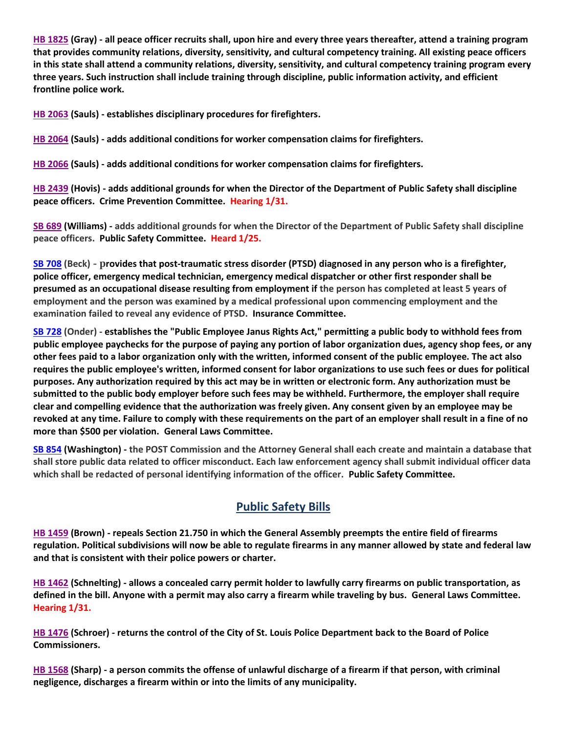**[HB 1825](https://house.mo.gov/Bill.aspx?bill=HB1825&year=2022&code=R) (Gray) - all peace officer recruits shall, upon hire and every three years thereafter, attend a training program that provides community relations, diversity, sensitivity, and cultural competency training. All existing peace officers in this state shall attend a community relations, diversity, sensitivity, and cultural competency training program every three years. Such instruction shall include training through discipline, public information activity, and efficient frontline police work.**

**[HB 2063](https://house.mo.gov/Bill.aspx?bill=HB2063&year=2022&code=R) (Sauls) - establishes disciplinary procedures for firefighters.**

**[HB 2064](https://house.mo.gov/Bill.aspx?bill=HB2064&year=2022&code=R) (Sauls) - adds additional conditions for worker compensation claims for firefighters.** 

**[HB 2066](https://house.mo.gov/Bill.aspx?bill=HB2066&year=2022&code=R) (Sauls) - adds additional conditions for worker compensation claims for firefighters.**

**[HB 2439](https://house.mo.gov/Bill.aspx?bill=HB2439&year=2022&code=R) (Hovis) - adds additional grounds for when the Director of the Department of Public Safety shall discipline peace officers. Crime Prevention Committee. Hearing 1/31.**

**[SB 689](https://www.senate.mo.gov/22info/BTS_Web/Bill.aspx?SessionType=R&BillID=71259715) (Williams) - adds additional grounds for when the Director of the Department of Public Safety shall discipline peace officers. Public Safety Committee. Heard 1/25.**

**[SB 708](https://www.senate.mo.gov/22info/BTS_Web/Bill.aspx?SessionType=R&BillID=71259735) (Beck) - provides that post-traumatic stress disorder (PTSD) diagnosed in any person who is a firefighter, police officer, emergency medical technician, emergency medical dispatcher or other first responder shall be presumed as an occupational disease resulting from employment if the person has completed at least 5 years of employment and the person was examined by a medical professional upon commencing employment and the examination failed to reveal any evidence of PTSD. Insurance Committee.**

**[SB 728](https://www.senate.mo.gov/22info/BTS_Web/Bill.aspx?SessionType=R&BillID=71259712) (Onder) - establishes the "Public Employee Janus Rights Act," permitting a public body to withhold fees from public employee paychecks for the purpose of paying any portion of labor organization dues, agency shop fees, or any other fees paid to a labor organization only with the written, informed consent of the public employee. The act also requires the public employee's written, informed consent for labor organizations to use such fees or dues for political purposes. Any authorization required by this act may be in written or electronic form. Any authorization must be submitted to the public body employer before such fees may be withheld. Furthermore, the employer shall require clear and compelling evidence that the authorization was freely given. Any consent given by an employee may be revoked at any time. Failure to comply with these requirements on the part of an employer shall result in a fine of no more than \$500 per violation. General Laws Committee.**

**[SB 854](https://www.senate.mo.gov/22info/BTS_Web/Bill.aspx?SessionType=R&BillID=71259653) (Washington) - the POST Commission and the Attorney General shall each create and maintain a database that shall store public data related to officer misconduct. Each law enforcement agency shall submit individual officer data which shall be redacted of personal identifying information of the officer. Public Safety Committee.**

## **Public Safety Bills**

**[HB 1459](https://house.mo.gov/Bill.aspx?bill=HB1459&year=2022&code=R) (Brown) - repeals Section 21.750 in which the General Assembly preempts the entire field of firearms regulation. Political subdivisions will now be able to regulate firearms in any manner allowed by state and federal law and that is consistent with their police powers or charter.**

**[HB 1462](https://house.mo.gov/Bill.aspx?bill=HB1462&year=2022&code=R) (Schnelting) - allows a concealed carry permit holder to lawfully carry firearms on public transportation, as defined in the bill. Anyone with a permit may also carry a firearm while traveling by bus. General Laws Committee. Hearing 1/31.**

**[HB 1476](https://house.mo.gov/Bill.aspx?bill=HB1476&year=2022&code=R) (Schroer) - returns the control of the City of St. Louis Police Department back to the Board of Police Commissioners.**

**[HB 1568](https://house.mo.gov/Bill.aspx?bill=HB1568&year=2022&code=R) (Sharp) - a person commits the offense of unlawful discharge of a firearm if that person, with criminal negligence, discharges a firearm within or into the limits of any municipality.**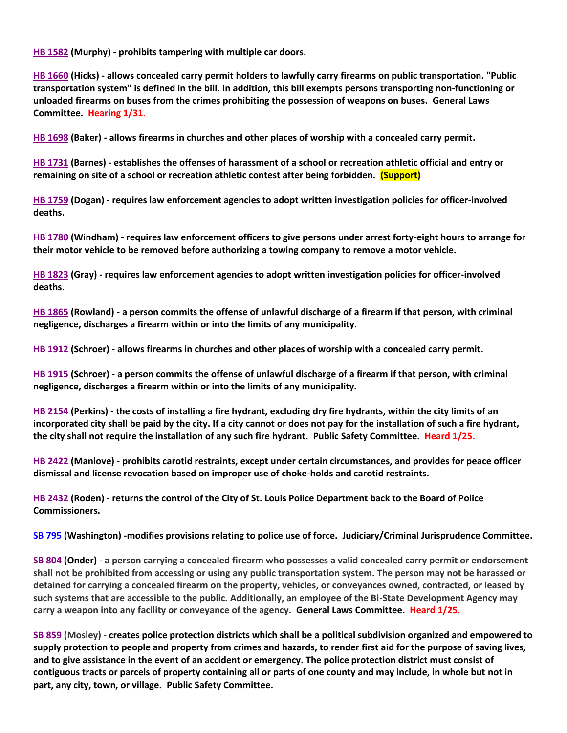**[HB 1582](https://house.mo.gov/Bill.aspx?bill=HB1582&year=2022&code=R) (Murphy) - prohibits tampering with multiple car doors.**

**[HB 1660](https://house.mo.gov/Bill.aspx?bill=HB1660&year=2022&code=R) (Hicks) - allows concealed carry permit holders to lawfully carry firearms on public transportation. "Public transportation system" is defined in the bill. In addition, this bill exempts persons transporting non-functioning or unloaded firearms on buses from the crimes prohibiting the possession of weapons on buses. General Laws Committee. Hearing 1/31.**

**[HB 1698](https://house.mo.gov/Bill.aspx?bill=HB1698&year=2022&code=R) (Baker) - allows firearms in churches and other places of worship with a concealed carry permit.**

**[HB 1731](https://house.mo.gov/Bill.aspx?bill=HB1731&year=2022&code=R) (Barnes) - establishes the offenses of harassment of a school or recreation athletic official and entry or remaining on site of a school or recreation athletic contest after being forbidden. (Support)**

**[HB 1759](https://house.mo.gov/Bill.aspx?bill=HB1759&year=2022&code=R) (Dogan) - requires law enforcement agencies to adopt written investigation policies for officer-involved deaths.**

**[HB 1780](https://house.mo.gov/Bill.aspx?bill=HB1780&year=2022&code=R) (Windham) - requires law enforcement officers to give persons under arrest forty-eight hours to arrange for their motor vehicle to be removed before authorizing a towing company to remove a motor vehicle.**

**[HB 1823](https://house.mo.gov/Bill.aspx?bill=HB1823&year=2022&code=R) (Gray) - requires law enforcement agencies to adopt written investigation policies for officer-involved deaths.**

**[HB 1865](https://house.mo.gov/Bill.aspx?bill=HB1865&year=2022&code=R) (Rowland) - a person commits the offense of unlawful discharge of a firearm if that person, with criminal negligence, discharges a firearm within or into the limits of any municipality.**

**[HB 1912](https://house.mo.gov/Bill.aspx?bill=HB1912&year=2022&code=R) (Schroer) - allows firearms in churches and other places of worship with a concealed carry permit.**

**[HB 1915](https://house.mo.gov/Bill.aspx?bill=HB1915&year=2022&code=R) (Schroer) - a person commits the offense of unlawful discharge of a firearm if that person, with criminal negligence, discharges a firearm within or into the limits of any municipality.**

**[HB 2154](https://house.mo.gov/Bill.aspx?bill=HB2154&year=2022&code=R) (Perkins) - the costs of installing a fire hydrant, excluding dry fire hydrants, within the city limits of an incorporated city shall be paid by the city. If a city cannot or does not pay for the installation of such a fire hydrant, the city shall not require the installation of any such fire hydrant. Public Safety Committee. Heard 1/25.**

**[HB 2422](https://house.mo.gov/Bill.aspx?bill=HB2422&year=2022&code=R) (Manlove) - prohibits carotid restraints, except under certain circumstances, and provides for peace officer dismissal and license revocation based on improper use of choke-holds and carotid restraints.**

**[HB 2432](https://house.mo.gov/Bill.aspx?bill=HB2432&year=2022&code=R) (Roden) - returns the control of the City of St. Louis Police Department back to the Board of Police Commissioners.**

**[SB 795](https://www.senate.mo.gov/22info/BTS_Web/Bill.aspx?SessionType=R&BillID=71259650) (Washington) -modifies provisions relating to police use of force. Judiciary/Criminal Jurisprudence Committee.**

**[SB 804](https://www.senate.mo.gov/22info/BTS_Web/Bill.aspx?SessionType=R&BillID=71263286) (Onder) - a person carrying a concealed firearm who possesses a valid concealed carry permit or endorsement shall not be prohibited from accessing or using any public transportation system. The person may not be harassed or detained for carrying a concealed firearm on the property, vehicles, or conveyances owned, contracted, or leased by such systems that are accessible to the public. Additionally, an employee of the Bi-State Development Agency may carry a weapon into any facility or conveyance of the agency. General Laws Committee. Heard 1/25.**

**[SB 859](https://www.senate.mo.gov/22info/BTS_Web/Bill.aspx?SessionType=R&BillID=71259622) (Mosley) - creates police protection districts which shall be a political subdivision organized and empowered to supply protection to people and property from crimes and hazards, to render first aid for the purpose of saving lives, and to give assistance in the event of an accident or emergency. The police protection district must consist of contiguous tracts or parcels of property containing all or parts of one county and may include, in whole but not in part, any city, town, or village. Public Safety Committee.**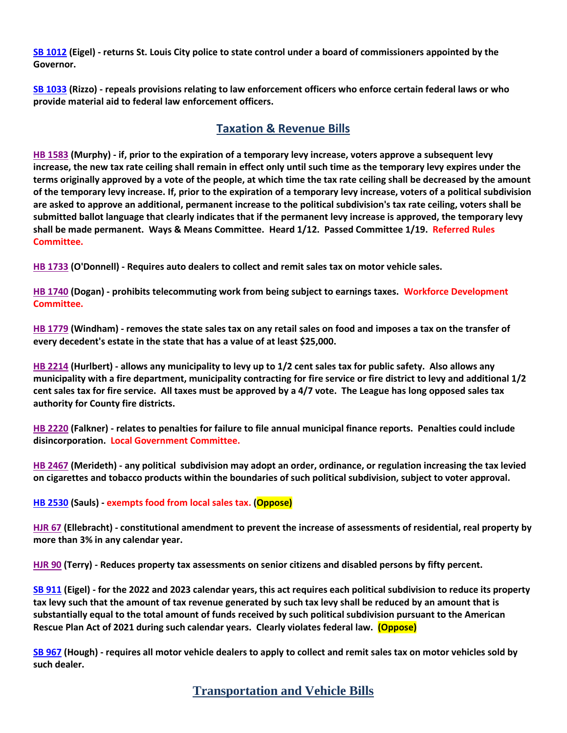**[SB 1012](https://www.senate.mo.gov/22info/BTS_Web/Bill.aspx?SessionType=R&BillID=72392417) (Eigel) - returns St. Louis City police to state control under a board of commissioners appointed by the Governor.**

**[SB 1033](https://www.senate.mo.gov/22info/BTS_Web/Bill.aspx?SessionType=R&BillID=72748800) (Rizzo) - repeals provisions relating to law enforcement officers who enforce certain federal laws or who provide material aid to federal law enforcement officers.**

## **Taxation & Revenue Bills**

**[HB 1583](https://house.mo.gov/Bill.aspx?bill=HB1583&year=2022&code=R) (Murphy) - if, prior to the expiration of a temporary levy increase, voters approve a subsequent levy increase, the new tax rate ceiling shall remain in effect only until such time as the temporary levy expires under the terms originally approved by a vote of the people, at which time the tax rate ceiling shall be decreased by the amount of the temporary levy increase. If, prior to the expiration of a temporary levy increase, voters of a political subdivision are asked to approve an additional, permanent increase to the political subdivision's tax rate ceiling, voters shall be submitted ballot language that clearly indicates that if the permanent levy increase is approved, the temporary levy shall be made permanent. Ways & Means Committee. Heard 1/12. Passed Committee 1/19. Referred Rules Committee.**

**[HB 1733](https://house.mo.gov/Bill.aspx?bill=HB1733&year=2022&code=R) (O'Donnell) - Requires auto dealers to collect and remit sales tax on motor vehicle sales.**

**[HB 1740](https://house.mo.gov/Bill.aspx?bill=HB1740&year=2022&code=R) (Dogan) - prohibits telecommuting work from being subject to earnings taxes. Workforce Development Committee.**

**[HB 1779](https://house.mo.gov/Bill.aspx?bill=HB1779&year=2022&code=R) (Windham) - removes the state sales tax on any retail sales on food and imposes a tax on the transfer of every decedent's estate in the state that has a value of at least \$25,000.**

**[HB 2214](https://house.mo.gov/Bill.aspx?bill=HB2214&year=2022&code=R) (Hurlbert) - allows any municipality to levy up to 1/2 cent sales tax for public safety. Also allows any municipality with a fire department, municipality contracting for fire service or fire district to levy and additional 1/2 cent sales tax for fire service. All taxes must be approved by a 4/7 vote. The League has long opposed sales tax authority for County fire districts.**

**[HB 2220](https://house.mo.gov/Bill.aspx?bill=HB2220&year=2022&code=R) (Falkner) - relates to penalties for failure to file annual municipal finance reports. Penalties could include disincorporation. Local Government Committee.**

**[HB 2467](https://house.mo.gov/Bill.aspx?bill=HB2467&year=2022&code=R) (Merideth) - any political subdivision may adopt an order, ordinance, or regulation increasing the tax levied on cigarettes and tobacco products within the boundaries of such political subdivision, subject to voter approval.**

**[HB 2530](https://www.house.mo.gov/Bill.aspx?bill=HB2530&year=2022&code=R) (Sauls) - exempts food from local sales tax. (Oppose)**

**[HJR 67](https://house.mo.gov/Bill.aspx?bill=HJR67&year=2022&code=R) (Ellebracht) - constitutional amendment to prevent the increase of assessments of residential, real property by more than 3% in any calendar year.**

**[HJR 90](https://house.mo.gov/Bill.aspx?bill=HJR90&year=2022&code=R) (Terry) - Reduces property tax assessments on senior citizens and disabled persons by fifty percent.**

**[SB 911](https://www.senate.mo.gov/22info/BTS_Web/Bill.aspx?SessionType=R&BillID=71259794) (Eigel) - for the 2022 and 2023 calendar years, this act requires each political subdivision to reduce its property tax levy such that the amount of tax revenue generated by such tax levy shall be reduced by an amount that is substantially equal to the total amount of funds received by such political subdivision pursuant to the American Rescue Plan Act of 2021 during such calendar years. Clearly violates federal law. (Oppose)**

**[SB 967](https://www.senate.mo.gov/22info/BTS_Web/Bill.aspx?SessionType=R&BillID=71406282) (Hough) - requires all motor vehicle dealers to apply to collect and remit sales tax on motor vehicles sold by such dealer.**

**Transportation and Vehicle Bills**